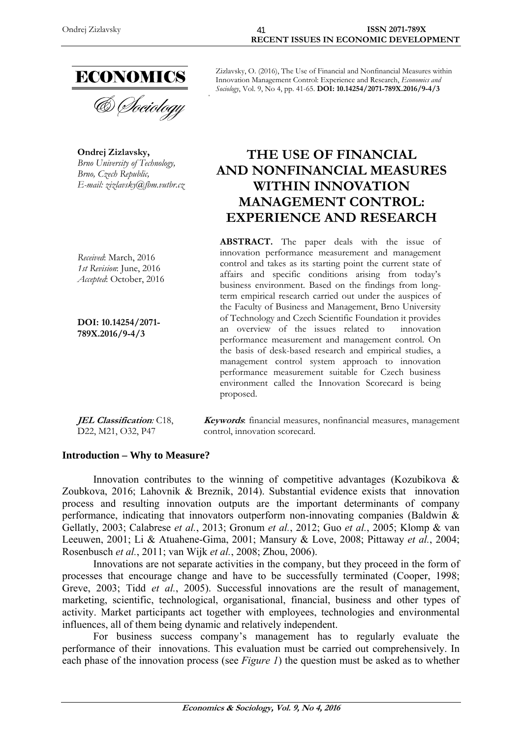

**Ondrej Zizlavsky,**  *Brno University of Technology, Brno, Czech Republic, E-mail: zizlavsky@fbm.vutbr.cz* 

*Received*: March, 2016 *1st Revision*: June, 2016 *Accepted*: October, 2016

**DOI: 10.14254/2071- 789X.2016/9-4/3**

**JEL Classification***:* C18, D22, M21, O32, P47

Zizlavsky, O. (2016), The Use of Financial and Nonfinancial Measures within Innovation Management Control: Experience and Research, *Economics and Sociology*, Vol. 9, No 4, pp. 41-65. **DOI: 10.14254/2071-789X.2016/9-4/3** 

# **THE USE OF FINANCIAL AND NONFINANCIAL MEASURES WITHIN INNOVATION MANAGEMENT CONTROL: EXPERIENCE AND RESEARCH**

**ABSTRACT.** The paper deals with the issue of innovation performance measurement and management control and takes as its starting point the current state of affairs and specific conditions arising from today's business environment. Based on the findings from longterm empirical research carried out under the auspices of the Faculty of Business and Management, Brno University of Technology and Czech Scientific Foundation it provides an overview of the issues related to innovation performance measurement and management control. On the basis of desk-based research and empirical studies, a management control system approach to innovation performance measurement suitable for Czech business environment called the Innovation Scorecard is being proposed.

**Keywords**: financial measures, nonfinancial measures, management control, innovation scorecard.

#### **Introduction – Why to Measure?**

Innovation contributes to the winning of competitive advantages (Kozubikova  $\&$ Zoubkova, 2016; Lahovnik & Breznik, 2014). Substantial evidence exists that innovation process and resulting innovation outputs are the important determinants of company performance, indicating that innovators outperform non-innovating companies (Baldwin & Gellatly, 2003; Calabrese *et al.*, 2013; Gronum *et al.*, 2012; Guo *et al.*, 2005; Klomp & van Leeuwen, 2001; Li & Atuahene-Gima, 2001; Mansury & Love, 2008; Pittaway *et al.*, 2004; Rosenbusch *et al.*, 2011; van Wijk *et al.*, 2008; Zhou, 2006).

Innovations are not separate activities in the company, but they proceed in the form of processes that encourage change and have to be successfully terminated (Cooper, 1998; Greve, 2003; Tidd *et al.*, 2005). Successful innovations are the result of management, marketing, scientific, technological, organisational, financial, business and other types of activity. Market participants act together with employees, technologies and environmental influences, all of them being dynamic and relatively independent.

For business success company's management has to regularly evaluate the performance of their innovations. This evaluation must be carried out comprehensively. In each phase of the innovation process (see *Figure 1*) the question must be asked as to whether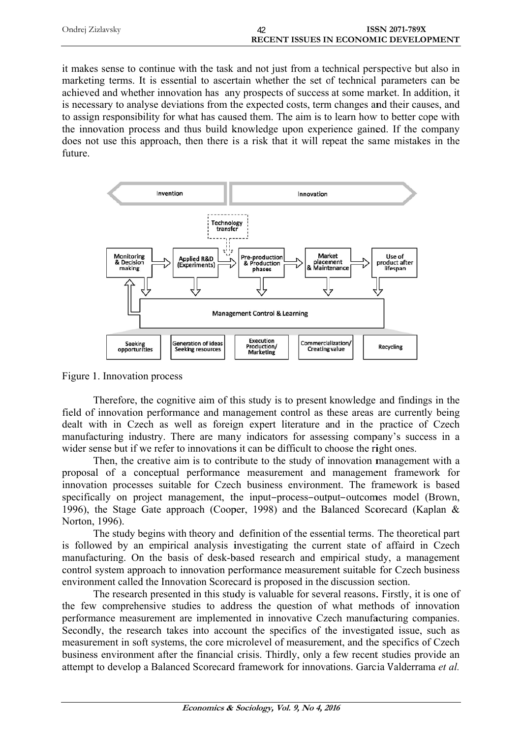| Ondrej Zizlavsky | ISSN 2071-789X                        |
|------------------|---------------------------------------|
|                  | RECENT ISSUES IN ECONOMIC DEVELOPMENT |

it makes sense to continue with the task and not just from a technical perspective but also in marketing terms. It is essential to ascertain whether the set of technical parameters can be achieved and whether innovation has any prospects of success at some market. In addition, it is necessary to analyse deviations from the expected costs, term changes and their causes, and to assign responsibility for what has caused them. The aim is to learn how to better cope with the innovation process and thus build knowledge upon experience gained. If the company does not use this approach, then there is a risk that it will repeat the same mistakes in the future



Figure 1. Innovation process

Therefore, the cognitive aim of this study is to present knowledge and findings in the field of innovation performance and management control as these areas are currently being dealt with in Czech as well as foreign expert literature and in the practice of Czech manufacturing industry. There are many indicators for assessing company's success in a wider sense but if we refer to innovations it can be difficult to choose the right ones.

Then, the creative aim is to contribute to the study of innovation management with a proposal of a conceptual performance measurement and management framework for innovation processes suitable for Czech business environment. The framework is based specifically on project management, the input-process-output-outcomes model (Brown, 1996), the Stage Gate approach (Cooper, 1998) and the Balanced Scorecard (Kaplan & Norton, 1996).

The study begins with theory and definition of the essential terms. The theoretical part is followed by an empirical analysis investigating the current state of affaird in Czech manufacturing. On the basis of desk-based research and empirical study, a management control system approach to innovation performance measurement suitable for Czech business environment called the Innovation Scorecard is proposed in the discussion section.

The research presented in this study is valuable for several reasons. Firstly, it is one of the few comprehensive studies to address the question of what methods of innovation performance measurement are implemented in innovative Czech manufacturing companies. Secondly, the research takes into account the specifics of the investigated issue, such as measurement in soft systems, the core microlevel of measurement, and the specifics of Czech business environment after the financial crisis. Thirdly, only a few recent studies provide an attempt to develop a Balanced Scorecard framework for innovations. Garcia Valderrama et al.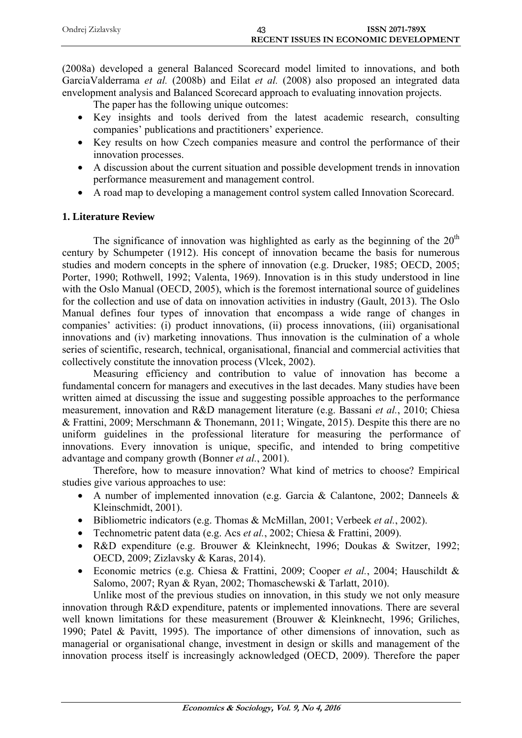| Ondrej Zizlavsky | <b>ISSN 2071-789X</b>                        |
|------------------|----------------------------------------------|
|                  | <b>RECENT ISSUES IN ECONOMIC DEVELOPMENT</b> |

(2008a) developed a general Balanced Scorecard model limited to innovations, and both GarciaValderrama *et al.* (2008b) and Eilat *et al.* (2008) also proposed an integrated data envelopment analysis and Balanced Scorecard approach to evaluating innovation projects.

The paper has the following unique outcomes:

- Key insights and tools derived from the latest academic research, consulting companies' publications and practitioners' experience.
- Key results on how Czech companies measure and control the performance of their innovation processes.
- A discussion about the current situation and possible development trends in innovation performance measurement and management control.
- A road map to developing a management control system called Innovation Scorecard.

# **1. Literature Review**

The significance of innovation was highlighted as early as the beginning of the  $20<sup>th</sup>$ century by Schumpeter (1912). His concept of innovation became the basis for numerous studies and modern concepts in the sphere of innovation (e.g. Drucker, 1985; OECD, 2005; Porter, 1990; Rothwell, 1992; Valenta, 1969). Innovation is in this study understood in line with the Oslo Manual (OECD, 2005), which is the foremost international source of guidelines for the collection and use of data on innovation activities in industry (Gault, 2013). The Oslo Manual defines four types of innovation that encompass a wide range of changes in companies' activities: (i) product innovations, (ii) process innovations, (iii) organisational innovations and (iv) marketing innovations. Thus innovation is the culmination of a whole series of scientific, research, technical, organisational, financial and commercial activities that collectively constitute the innovation process (Vlcek, 2002).

Measuring efficiency and contribution to value of innovation has become a fundamental concern for managers and executives in the last decades. Many studies have been written aimed at discussing the issue and suggesting possible approaches to the performance measurement, innovation and R&D management literature (e.g. Bassani *et al.*, 2010; Chiesa & Frattini, 2009; Merschmann & Thonemann, 2011; Wingate, 2015). Despite this there are no uniform guidelines in the professional literature for measuring the performance of innovations. Every innovation is unique, specific, and intended to bring competitive advantage and company growth (Bonner *et al.*, 2001).

Therefore, how to measure innovation? What kind of metrics to choose? Empirical studies give various approaches to use:

- A number of implemented innovation (e.g. Garcia & Calantone, 2002; Danneels & Kleinschmidt, 2001).
- Bibliometric indicators (e.g. Thomas & McMillan, 2001; Verbeek *et al.*, 2002).
- Technometric patent data (e.g. Acs *et al.*, 2002; Chiesa & Frattini, 2009).
- R&D expenditure (e.g. Brouwer & Kleinknecht, 1996; Doukas & Switzer, 1992; OECD, 2009; Zizlavsky & Karas, 2014).
- Economic metrics (e.g. Chiesa & Frattini, 2009; Cooper *et al.*, 2004; Hauschildt & Salomo, 2007; Ryan & Ryan, 2002; Thomaschewski & Tarlatt, 2010).

Unlike most of the previous studies on innovation, in this study we not only measure innovation through R&D expenditure, patents or implemented innovations. There are several well known limitations for these measurement (Brouwer & Kleinknecht, 1996; Griliches, 1990; Patel & Pavitt, 1995). The importance of other dimensions of innovation, such as managerial or organisational change, investment in design or skills and management of the innovation process itself is increasingly acknowledged (OECD, 2009). Therefore the paper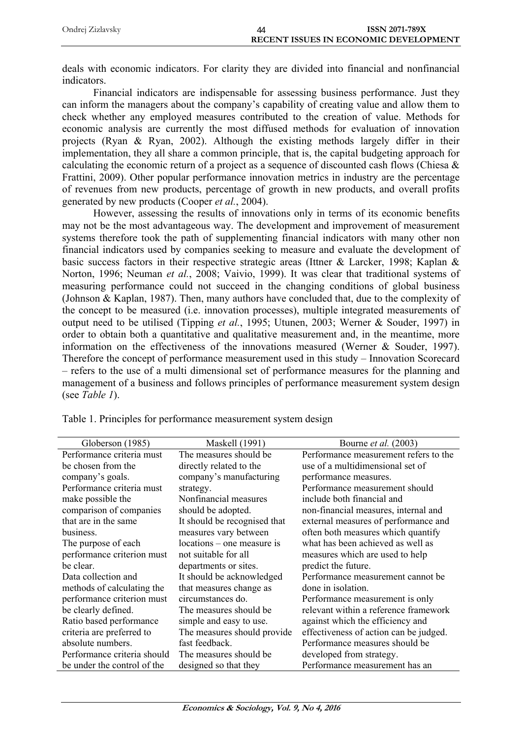| Ondrej Zizlavsky | 44 | <b>ISSN 2071-789X</b>                        |
|------------------|----|----------------------------------------------|
|                  |    | <b>RECENT ISSUES IN ECONOMIC DEVELOPMENT</b> |

deals with economic indicators. For clarity they are divided into financial and nonfinancial indicators.

Financial indicators are indispensable for assessing business performance. Just they can inform the managers about the company's capability of creating value and allow them to check whether any employed measures contributed to the creation of value. Methods for economic analysis are currently the most diffused methods for evaluation of innovation projects (Ryan & Ryan, 2002). Although the existing methods largely differ in their implementation, they all share a common principle, that is, the capital budgeting approach for calculating the economic return of a project as a sequence of discounted cash flows (Chiesa & Frattini, 2009). Other popular performance innovation metrics in industry are the percentage of revenues from new products, percentage of growth in new products, and overall profits generated by new products (Cooper *et al.*, 2004).

However, assessing the results of innovations only in terms of its economic benefits may not be the most advantageous way. The development and improvement of measurement systems therefore took the path of supplementing financial indicators with many other non financial indicators used by companies seeking to measure and evaluate the development of basic success factors in their respective strategic areas (Ittner & Larcker, 1998; Kaplan & Norton, 1996; Neuman *et al.*, 2008; Vaivio, 1999). It was clear that traditional systems of measuring performance could not succeed in the changing conditions of global business (Johnson & Kaplan, 1987). Then, many authors have concluded that, due to the complexity of the concept to be measured (i.e. innovation processes), multiple integrated measurements of output need to be utilised (Tipping *et al.*, 1995; Utunen, 2003; Werner & Souder, 1997) in order to obtain both a quantitative and qualitative measurement and, in the meantime, more information on the effectiveness of the innovations measured (Werner & Souder, 1997). Therefore the concept of performance measurement used in this study – Innovation Scorecard – refers to the use of a multi dimensional set of performance measures for the planning and management of a business and follows principles of performance measurement system design (see *Table 1*).

| Globerson (1985)            | <b>Maskell</b> (1991)        | Bourne <i>et al.</i> (2003)            |
|-----------------------------|------------------------------|----------------------------------------|
| Performance criteria must   | The measures should be.      | Performance measurement refers to the  |
| be chosen from the          | directly related to the      | use of a multidimensional set of       |
| company's goals.            | company's manufacturing      | performance measures.                  |
| Performance criteria must   | strategy.                    | Performance measurement should         |
| make possible the           | Nonfinancial measures        | include both financial and             |
| comparison of companies     | should be adopted.           | non-financial measures, internal and   |
| that are in the same        | It should be recognised that | external measures of performance and   |
| business.                   | measures vary between        | often both measures which quantify     |
| The purpose of each         | locations – one measure is   | what has been achieved as well as      |
| performance criterion must  | not suitable for all         | measures which are used to help        |
| be clear.                   | departments or sites.        | predict the future.                    |
| Data collection and         | It should be acknowledged    | Performance measurement cannot be      |
| methods of calculating the  | that measures change as      | done in isolation.                     |
| performance criterion must  | circumstances do.            | Performance measurement is only        |
| be clearly defined.         | The measures should be.      | relevant within a reference framework  |
| Ratio based performance     | simple and easy to use.      | against which the efficiency and       |
| criteria are preferred to   | The measures should provide  | effectiveness of action can be judged. |
| absolute numbers.           | fast feedback.               | Performance measures should be         |
| Performance criteria should | The measures should be       | developed from strategy.               |
| be under the control of the | designed so that they        | Performance measurement has an         |

Table 1. Principles for performance measurement system design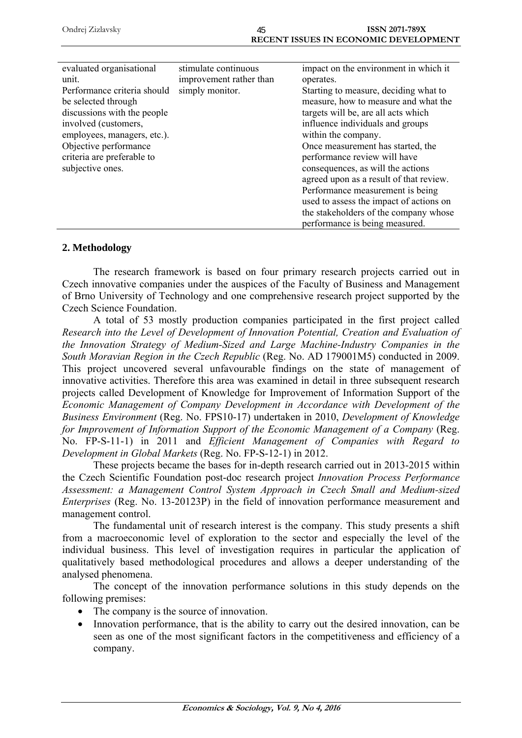| evaluated organisational    | stimulate continuous    | impact on the environment in which it   |
|-----------------------------|-------------------------|-----------------------------------------|
| unit.                       | improvement rather than | operates.                               |
| Performance criteria should | simply monitor.         | Starting to measure, deciding what to   |
| be selected through         |                         | measure, how to measure and what the    |
| discussions with the people |                         | targets will be, are all acts which     |
| involved (customers,        |                         | influence individuals and groups        |
| employees, managers, etc.). |                         | within the company.                     |
| Objective performance       |                         | Once measurement has started, the       |
| criteria are preferable to  |                         | performance review will have            |
| subjective ones.            |                         | consequences, as will the actions       |
|                             |                         | agreed upon as a result of that review. |
|                             |                         | Performance measurement is being        |
|                             |                         | used to assess the impact of actions on |
|                             |                         | the stakeholders of the company whose   |
|                             |                         | performance is being measured.          |

## **2. Methodology**

The research framework is based on four primary research projects carried out in Czech innovative companies under the auspices of the Faculty of Business and Management of Brno University of Technology and one comprehensive research project supported by the Czech Science Foundation.

A total of 53 mostly production companies participated in the first project called *Research into the Level of Development of Innovation Potential, Creation and Evaluation of the Innovation Strategy of Medium-Sized and Large Machine-Industry Companies in the South Moravian Region in the Czech Republic* (Reg. No. AD 179001M5) conducted in 2009. This project uncovered several unfavourable findings on the state of management of innovative activities. Therefore this area was examined in detail in three subsequent research projects called Development of Knowledge for Improvement of Information Support of the *Economic Management of Company Development in Accordance with Development of the Business Environment* (Reg. No. FPS10-17) undertaken in 2010, *Development of Knowledge for Improvement of Information Support of the Economic Management of a Company* (Reg. No. FP-S-11-1) in 2011 and *Efficient Management of Companies with Regard to Development in Global Markets* (Reg. No. FP-S-12-1) in 2012.

These projects became the bases for in-depth research carried out in 2013-2015 within the Czech Scientific Foundation post-doc research project *Innovation Process Performance Assessment: a Management Control System Approach in Czech Small and Medium-sized Enterprises* (Reg. No. 13-20123P) in the field of innovation performance measurement and management control.

The fundamental unit of research interest is the company. This study presents a shift from a macroeconomic level of exploration to the sector and especially the level of the individual business. This level of investigation requires in particular the application of qualitatively based methodological procedures and allows a deeper understanding of the analysed phenomena.

The concept of the innovation performance solutions in this study depends on the following premises:

- The company is the source of innovation.
- Innovation performance, that is the ability to carry out the desired innovation, can be seen as one of the most significant factors in the competitiveness and efficiency of a company.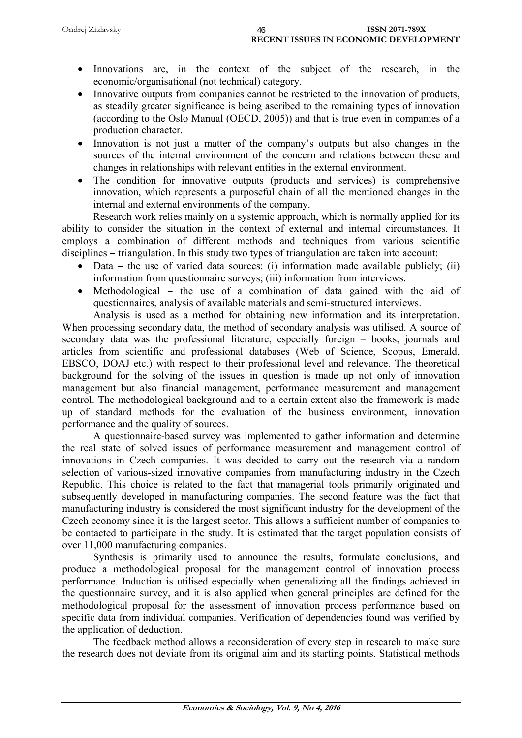| Ondrej Zizlavsky | 46 | <b>ISSN 2071-789X</b>                        |
|------------------|----|----------------------------------------------|
|                  |    | <b>RECENT ISSUES IN ECONOMIC DEVELOPMENT</b> |

- Innovations are, in the context of the subject of the research, in the economic/organisational (not technical) category.
- Innovative outputs from companies cannot be restricted to the innovation of products, as steadily greater significance is being ascribed to the remaining types of innovation (according to the Oslo Manual (OECD, 2005)) and that is true even in companies of a production character.
- Innovation is not just a matter of the company's outputs but also changes in the sources of the internal environment of the concern and relations between these and changes in relationships with relevant entities in the external environment.
- The condition for innovative outputs (products and services) is comprehensive innovation, which represents a purposeful chain of all the mentioned changes in the internal and external environments of the company.

Research work relies mainly on a systemic approach, which is normally applied for its ability to consider the situation in the context of external and internal circumstances. It employs a combination of different methods and techniques from various scientific disciplines – triangulation. In this study two types of triangulation are taken into account:

- Data the use of varied data sources: (i) information made available publicly; (ii) information from questionnaire surveys; (iii) information from interviews.
- Methodological the use of a combination of data gained with the aid of questionnaires, analysis of available materials and semi-structured interviews.

Analysis is used as a method for obtaining new information and its interpretation. When processing secondary data, the method of secondary analysis was utilised. A source of secondary data was the professional literature, especially foreign – books, journals and articles from scientific and professional databases (Web of Science, Scopus, Emerald, EBSCO, DOAJ etc.) with respect to their professional level and relevance. The theoretical background for the solving of the issues in question is made up not only of innovation management but also financial management, performance measurement and management control. The methodological background and to a certain extent also the framework is made up of standard methods for the evaluation of the business environment, innovation performance and the quality of sources.

A questionnaire-based survey was implemented to gather information and determine the real state of solved issues of performance measurement and management control of innovations in Czech companies. It was decided to carry out the research via a random selection of various-sized innovative companies from manufacturing industry in the Czech Republic. This choice is related to the fact that managerial tools primarily originated and subsequently developed in manufacturing companies. The second feature was the fact that manufacturing industry is considered the most significant industry for the development of the Czech economy since it is the largest sector. This allows a sufficient number of companies to be contacted to participate in the study. It is estimated that the target population consists of over 11,000 manufacturing companies.

Synthesis is primarily used to announce the results, formulate conclusions, and produce a methodological proposal for the management control of innovation process performance. Induction is utilised especially when generalizing all the findings achieved in the questionnaire survey, and it is also applied when general principles are defined for the methodological proposal for the assessment of innovation process performance based on specific data from individual companies. Verification of dependencies found was verified by the application of deduction.

The feedback method allows a reconsideration of every step in research to make sure the research does not deviate from its original aim and its starting points. Statistical methods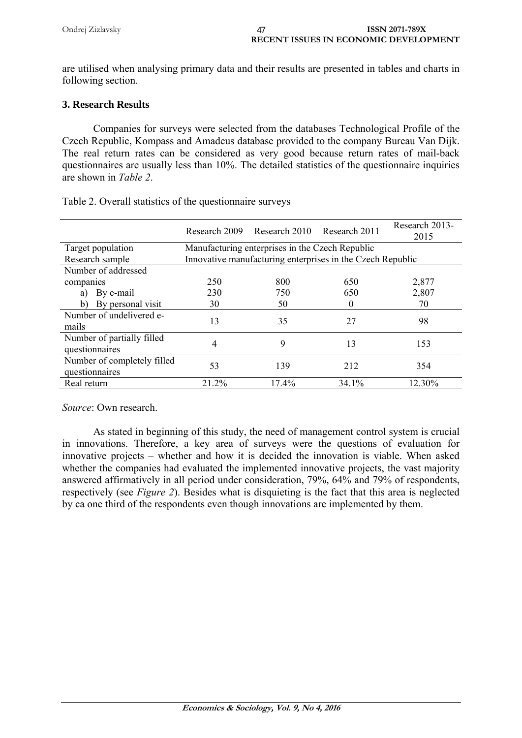| Ondrej Zizlavsky | ISSN 2071-789X                               |
|------------------|----------------------------------------------|
|                  | <b>RECENT ISSUES IN ECONOMIC DEVELOPMENT</b> |

are utilised when analysing primary data and their results are presented in tables and charts in following section.

# **3. Research Results**

Companies for surveys were selected from the databases Technological Profile of the Czech Republic, Kompass and Amadeus database provided to the company Bureau Van Dijk. The real return rates can be considered as very good because return rates of mail-back questionnaires are usually less than 10%. The detailed statistics of the questionnaire inquiries are shown in *Table 2*.

|                                               | Research 2009 | Research 2010                                   | Research 2011                                              | Research 2013-<br>2015 |
|-----------------------------------------------|---------------|-------------------------------------------------|------------------------------------------------------------|------------------------|
| Target population                             |               | Manufacturing enterprises in the Czech Republic |                                                            |                        |
| Research sample                               |               |                                                 | Innovative manufacturing enterprises in the Czech Republic |                        |
| Number of addressed                           |               |                                                 |                                                            |                        |
| companies                                     | 250           | 800                                             | 650                                                        | 2,877                  |
| By e-mail<br>a)                               | 230           | 750                                             | 650                                                        | 2,807                  |
| By personal visit<br>b)                       | 30            | 50                                              | $_{0}$                                                     | 70                     |
| Number of undelivered e-<br>mails             | 13            | 35                                              | 27                                                         | 98                     |
| Number of partially filled<br>questionnaires  | 4             | 9                                               | 13                                                         | 153                    |
| Number of completely filled<br>questionnaires | 53            | 139                                             | 212                                                        | 354                    |
| Real return                                   | 21.2%         | 17.4%                                           | 34.1%                                                      | 12.30%                 |

Table 2. Overall statistics of the questionnaire surveys

*Source*: Own research.

As stated in beginning of this study, the need of management control system is crucial in innovations. Therefore, a key area of surveys were the questions of evaluation for innovative projects – whether and how it is decided the innovation is viable. When asked whether the companies had evaluated the implemented innovative projects, the vast majority answered affirmatively in all period under consideration, 79%, 64% and 79% of respondents, respectively (see *Figure 2*). Besides what is disquieting is the fact that this area is neglected by ca one third of the respondents even though innovations are implemented by them.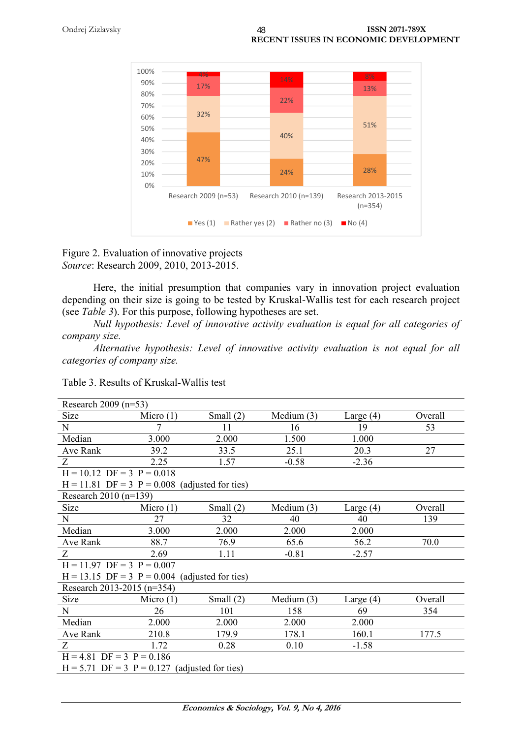

Figure 2. Evaluation of innovative projects *Source*: Research 2009, 2010, 2013-2015.

Here, the initial presumption that companies vary in innovation project evaluation depending on their size is going to be tested by Kruskal-Wallis test for each research project (see *Table 3*). For this purpose, following hypotheses are set.

*Null hypothesis: Level of innovative activity evaluation is equal for all categories of company size.*

*Alternative hypothesis: Level of innovative activity evaluation is not equal for all categories of company size.*

| Table 3. Results of Kruskal-Wallis test |
|-----------------------------------------|
|-----------------------------------------|

| Research 2009 $(n=53)$       |                                                  |             |              |             |         |
|------------------------------|--------------------------------------------------|-------------|--------------|-------------|---------|
| Size                         | Micro $(1)$                                      | Small $(2)$ | Medium $(3)$ | Large $(4)$ | Overall |
| $\mathbf N$                  |                                                  | 11          | 16           | 19          | 53      |
| Median                       | 3.000                                            | 2.000       | 1.500        | 1.000       |         |
| Ave Rank                     | 39.2                                             | 33.5        | 25.1         | 20.3        | 27      |
| Z                            | 2.25                                             | 1.57        | $-0.58$      | $-2.36$     |         |
| $H = 10.12$ DF = 3 P = 0.018 |                                                  |             |              |             |         |
|                              | $H = 11.81$ DF = 3 P = 0.008 (adjusted for ties) |             |              |             |         |
| Research $2010 (n=139)$      |                                                  |             |              |             |         |
| <b>Size</b>                  | Micro $(1)$                                      | Small $(2)$ | Medium $(3)$ | Large $(4)$ | Overall |
| N                            | 27                                               | 32          | 40           | 40          | 139     |
| Median                       | 3.000                                            | 2.000       | 2.000        | 2.000       |         |
| Ave Rank                     | 88.7                                             | 76.9        | 65.6         | 56.2        | 70.0    |
| Z                            | 2.69                                             | 1.11        | $-0.81$      | $-2.57$     |         |
| $H = 11.97$ DF = 3 P = 0.007 |                                                  |             |              |             |         |
|                              | $H = 13.15$ DF = 3 P = 0.004 (adjusted for ties) |             |              |             |         |
| Research 2013-2015 (n=354)   |                                                  |             |              |             |         |
| <b>Size</b>                  | Micro $(1)$                                      | Small $(2)$ | Medium $(3)$ | Large $(4)$ | Overall |
| N                            | 26                                               | 101         | 158          | 69          | 354     |
| Median                       | 2.000                                            | 2.000       | 2.000        | 2.000       |         |
| Ave Rank                     | 210.8                                            | 179.9       | 178.1        | 160.1       | 177.5   |
| Z                            | 1.72                                             | 0.28        | 0.10         | $-1.58$     |         |
| $H = 4.81$ DF = 3 P = 0.186  |                                                  |             |              |             |         |
|                              | $H = 5.71$ DF = 3 P = 0.127 (adjusted for ties)  |             |              |             |         |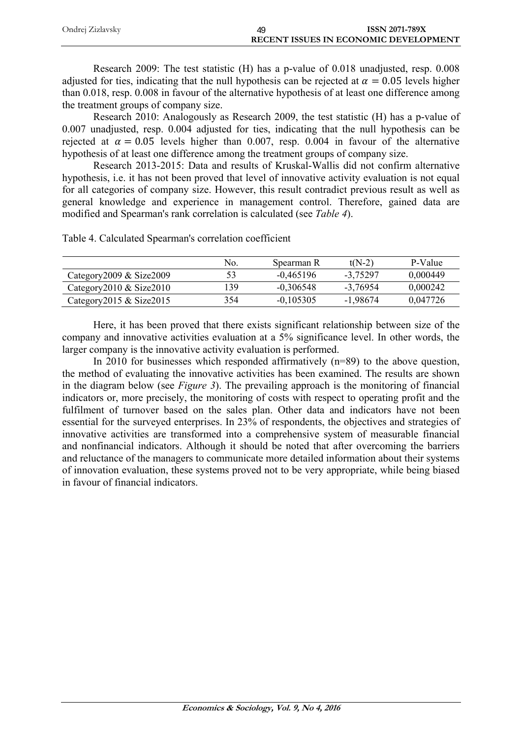| Ondrej Zizlavsky | <b>ISSN 2071-789X</b>                        |  |
|------------------|----------------------------------------------|--|
|                  | <b>RECENT ISSUES IN ECONOMIC DEVELOPMENT</b> |  |

Research 2009: The test statistic (H) has a p-value of 0.018 unadjusted, resp. 0.008 adjusted for ties, indicating that the null hypothesis can be rejected at  $\alpha = 0.05$  levels higher than 0.018, resp. 0.008 in favour of the alternative hypothesis of at least one difference among the treatment groups of company size.

Research 2010: Analogously as Research 2009, the test statistic (H) has a p-value of 0.007 unadjusted, resp. 0.004 adjusted for ties, indicating that the null hypothesis can be rejected at  $\alpha = 0.05$  levels higher than 0.007, resp. 0.004 in favour of the alternative hypothesis of at least one difference among the treatment groups of company size.

Research 2013-2015: Data and results of Kruskal-Wallis did not confirm alternative hypothesis, i.e. it has not been proved that level of innovative activity evaluation is not equal for all categories of company size. However, this result contradict previous result as well as general knowledge and experience in management control. Therefore, gained data are modified and Spearman's rank correlation is calculated (see *Table 4*).

Table 4. Calculated Spearman's correlation coefficient

|                                | No. | Spearman R  | $t(N-2)$   | P-Value  |
|--------------------------------|-----|-------------|------------|----------|
| Category $2009 \&$ Size $2009$ | 53  | $-0.465196$ | -3.75297   | 0.000449 |
| Category $2010 \&$ Size $2010$ | 139 | $-0.306548$ | $-3.76954$ | 0.000242 |
| Category 2015 & Size $2015$    | 354 | $-0.105305$ | $-1.98674$ | 0,047726 |

Here, it has been proved that there exists significant relationship between size of the company and innovative activities evaluation at a 5% significance level. In other words, the larger company is the innovative activity evaluation is performed.

In 2010 for businesses which responded affirmatively  $(n=89)$  to the above question, the method of evaluating the innovative activities has been examined. The results are shown in the diagram below (see *Figure 3*). The prevailing approach is the monitoring of financial indicators or, more precisely, the monitoring of costs with respect to operating profit and the fulfilment of turnover based on the sales plan. Other data and indicators have not been essential for the surveyed enterprises. In 23% of respondents, the objectives and strategies of innovative activities are transformed into a comprehensive system of measurable financial and nonfinancial indicators. Although it should be noted that after overcoming the barriers and reluctance of the managers to communicate more detailed information about their systems of innovation evaluation, these systems proved not to be very appropriate, while being biased in favour of financial indicators.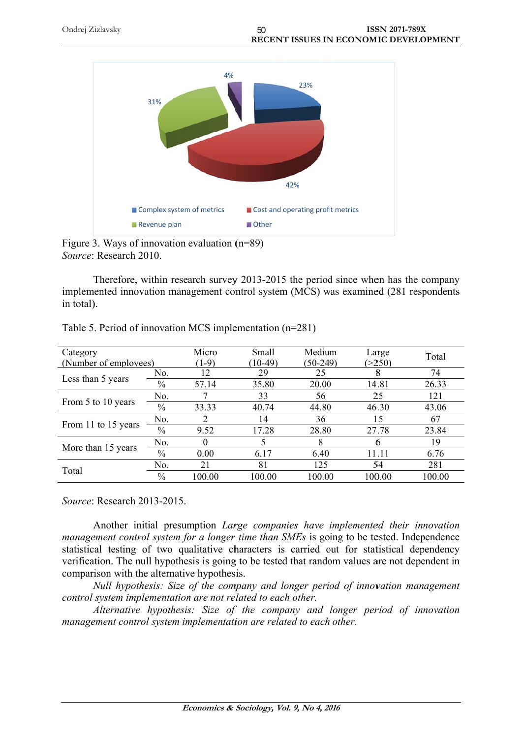



Figure 3. Ways of innovation evaluation  $(n=89)$ Source: Research 2010.

Therefore, within research survey 2013-2015 the period since when has the company implemented innovation management control system (MCS) was examined (281 respondents in total).

| Category              |               | Micro   | Small     | Medium     | Large  | Total  |
|-----------------------|---------------|---------|-----------|------------|--------|--------|
| (Number of employees) |               | $(1-9)$ | $(10-49)$ | $(50-249)$ | (>250) |        |
| Less than 5 years     | No.           | 12      | 29        | 25         | Ø      | 74     |
|                       | $\%$          | 57.14   | 35.80     | 20.00      | 14.81  | 26.33  |
|                       | No.           |         | 33        | 56         | 25     | 121    |
| From 5 to 10 years    | $\frac{0}{0}$ | 33.33   | 40.74     | 44.80      | 46.30  | 43.06  |
| From 11 to 15 years   | No.           |         | 14        | 36         | 15     | 67     |
|                       | $\%$          | 9.52    | 17.28     | 28.80      | 27.78  | 23.84  |
|                       | No.           |         |           | 8          | 6      | 19     |
| More than 15 years    | $\%$          | 0.00    | 6.17      | 6.40       | 11.11  | 6.76   |
|                       | No.           | 21      | 81        | 125        | 54     | 281    |
| Total                 | $\frac{0}{0}$ | 100.00  | 100.00    | 100.00     | 100.00 | 100.00 |

|  |  | Table 5. Period of innovation MCS implementation $(n=281)$ |  |
|--|--|------------------------------------------------------------|--|
|  |  |                                                            |  |

Source: Research 2013-2015.

Another initial presumption Large companies have implemented their innovation management control system for a longer time than SMEs is going to be tested. Independence statistical testing of two qualitative characters is carried out for statistical dependency verification. The null hypothesis is going to be tested that random values are not dependent in comparison with the alternative hypothesis.

Null hypothesis: Size of the company and longer period of innovation management control system implementation are not related to each other.

Alternative hypothesis: Size of the company and longer period of innovation management control system implementation are related to each other.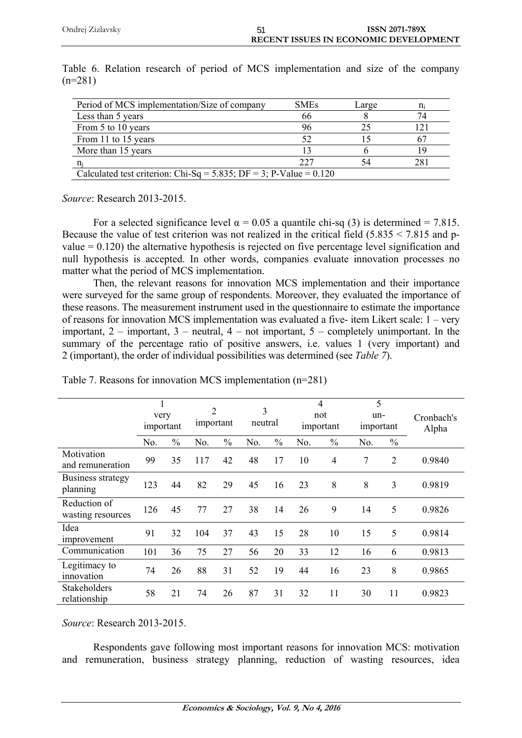| Period of MCS implementation/Size of company                          | <b>SMEs</b> | Large |     |
|-----------------------------------------------------------------------|-------------|-------|-----|
| Less than 5 years                                                     | 66          |       |     |
| From 5 to 10 years                                                    | 96          |       |     |
| From 11 to 15 years                                                   | 52          |       |     |
| More than 15 years                                                    | 13          |       |     |
|                                                                       | 227         |       | 281 |
| Calculated test criterion: Chi-Sq = $5.835$ ; DF = 3; P-Value = 0.120 |             |       |     |

Table 6. Relation research of period of MCS implementation and size of the company  $(n=281)$ 

*Source*: Research 2013-2015.

For a selected significance level  $\alpha = 0.05$  a quantile chi-sq (3) is determined = 7.815. Because the value of test criterion was not realized in the critical field (5.835 < 7.815 and pvalue  $= 0.120$ ) the alternative hypothesis is rejected on five percentage level signification and null hypothesis is accepted. In other words, companies evaluate innovation processes no matter what the period of MCS implementation.

Then, the relevant reasons for innovation MCS implementation and their importance were surveyed for the same group of respondents. Moreover, they evaluated the importance of these reasons. The measurement instrument used in the questionnaire to estimate the importance of reasons for innovation MCS implementation was evaluated a five- item Likert scale: 1 – very important,  $2$  – important,  $3$  – neutral,  $4$  – not important,  $5$  – completely unimportant. In the summary of the percentage ratio of positive answers, i.e. values 1 (very important) and 2 (important), the order of individual possibilities was determined (see *Table 7*).

|                                   | very<br>important |               | $\overline{2}$<br>important |               | 3<br>neutral |               |     | 4<br>not<br>important | 5<br>un-<br>important |                | Cronbach's<br>Alpha |
|-----------------------------------|-------------------|---------------|-----------------------------|---------------|--------------|---------------|-----|-----------------------|-----------------------|----------------|---------------------|
|                                   | No.               | $\frac{0}{0}$ | No.                         | $\frac{0}{0}$ | No.          | $\frac{0}{0}$ | No. | $\frac{0}{0}$         | No.                   | $\frac{0}{0}$  |                     |
| Motivation<br>and remuneration    | 99                | 35            | 117                         | 42            | 48           | 17            | 10  | 4                     | 7                     | $\overline{2}$ | 0.9840              |
| Business strategy<br>planning     | 123               | 44            | 82                          | 29            | 45           | 16            | 23  | 8                     | 8                     | 3              | 0.9819              |
| Reduction of<br>wasting resources | 126               | 45            | 77                          | 27            | 38           | 14            | 26  | 9                     | 14                    | 5              | 0.9826              |
| Idea<br>improvement               | 91                | 32            | 104                         | 37            | 43           | 15            | 28  | 10                    | 15                    | 5              | 0.9814              |
| Communication                     | 101               | 36            | 75                          | 27            | 56           | 20            | 33  | 12                    | 16                    | 6              | 0.9813              |
| Legitimacy to<br>innovation       | 74                | 26            | 88                          | 31            | 52           | 19            | 44  | 16                    | 23                    | 8              | 0.9865              |
| Stakeholders<br>relationship      | 58                | 21            | 74                          | 26            | 87           | 31            | 32  | 11                    | 30                    | 11             | 0.9823              |

|  |  |  | Table 7. Reasons for innovation MCS implementation $(n=281)$ |  |
|--|--|--|--------------------------------------------------------------|--|
|  |  |  |                                                              |  |

*Source*: Research 2013-2015.

Respondents gave following most important reasons for innovation MCS: motivation and remuneration, business strategy planning, reduction of wasting resources, idea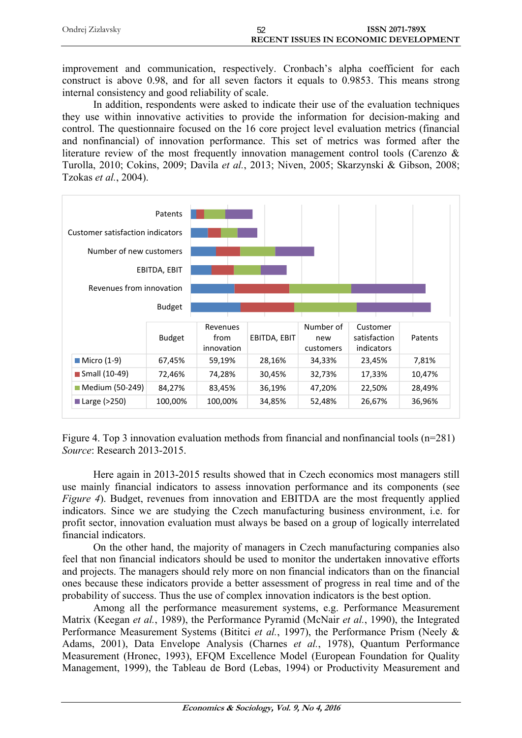| Ondrej Zizlavsky | <b>ISSN 2071-789X</b>                        |
|------------------|----------------------------------------------|
|                  | <b>RECENT ISSUES IN ECONOMIC DEVELOPMENT</b> |

improvement and communication, respectively. Cronbach's alpha coefficient for each construct is above 0.98, and for all seven factors it equals to 0.9853. This means strong internal consistency and good reliability of scale.

In addition, respondents were asked to indicate their use of the evaluation techniques they use within innovative activities to provide the information for decision-making and control. The questionnaire focused on the 16 core project level evaluation metrics (financial and nonfinancial) of innovation performance. This set of metrics was formed after the literature review of the most frequently innovation management control tools (Carenzo & Turolla, 2010; Cokins, 2009; Davila *et al.*, 2013; Niven, 2005; Skarzynski & Gibson, 2008; Tzokas *et al.*, 2004).



Figure 4. Top 3 innovation evaluation methods from financial and nonfinancial tools (n=281) *Source*: Research 2013-2015.

Here again in 2013-2015 results showed that in Czech economics most managers still use mainly financial indicators to assess innovation performance and its components (see *Figure 4*). Budget, revenues from innovation and EBITDA are the most frequently applied indicators. Since we are studying the Czech manufacturing business environment, i.e. for profit sector, innovation evaluation must always be based on a group of logically interrelated financial indicators.

On the other hand, the majority of managers in Czech manufacturing companies also feel that non financial indicators should be used to monitor the undertaken innovative efforts and projects. The managers should rely more on non financial indicators than on the financial ones because these indicators provide a better assessment of progress in real time and of the probability of success. Thus the use of complex innovation indicators is the best option.

Among all the performance measurement systems, e.g. Performance Measurement Matrix (Keegan *et al.*, 1989), the Performance Pyramid (McNair *et al.*, 1990), the Integrated Performance Measurement Systems (Bititci *et al.*, 1997), the Performance Prism (Neely & Adams, 2001), Data Envelope Analysis (Charnes *et al.*, 1978), Quantum Performance Measurement (Hronec, 1993), EFQM Excellence Model (European Foundation for Quality Management, 1999), the Tableau de Bord (Lebas, 1994) or Productivity Measurement and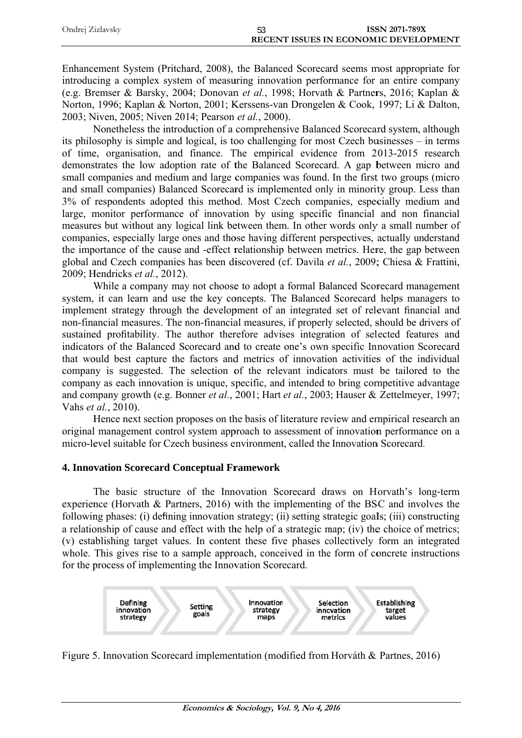| Ondrej Zizlavsky | ხკ | <b>ISSN 2071-789X</b>                 |
|------------------|----|---------------------------------------|
|                  |    | RECENT ISSUES IN ECONOMIC DEVELOPMENT |

Enhancement System (Pritchard, 2008), the Balanced Scorecard seems most appropriate for introducing a complex system of measuring innovation performance for an entire company (e.g. Bremser & Barsky, 2004; Donovan et al., 1998; Horvath & Partners, 2016; Kaplan & Norton, 1996; Kaplan & Norton, 2001; Kerssens-van Drongelen & Cook, 1997; Li & Dalton, 2003; Niven, 2005; Niven 2014; Pearson et al., 2000).

Nonetheless the introduction of a comprehensive Balanced Scorecard system, although its philosophy is simple and logical, is too challenging for most Czech businesses – in terms of time, organisation, and finance. The empirical evidence from 2013-2015 research demonstrates the low adoption rate of the Balanced Scorecard. A gap between micro and small companies and medium and large companies was found. In the first two groups (micro and small companies) Balanced Scorecard is implemented only in minority group. Less than 3% of respondents adopted this method. Most Czech companies, especially medium and large, monitor performance of innovation by using specific financial and non financial measures but without any logical link between them. In other words only a small number of companies, especially large ones and those having different perspectives, actually understand the importance of the cause and -effect relationship between metrics. Here, the gap between global and Czech companies has been discovered (cf. Davila et al., 2009; Chiesa & Frattini, 2009; Hendricks et al., 2012).

While a company may not choose to adopt a formal Balanced Scorecard management system, it can learn and use the key concepts. The Balanced Scorecard helps managers to implement strategy through the development of an integrated set of relevant financial and non-financial measures. The non-financial measures, if properly selected, should be drivers of sustained profitability. The author therefore advises integration of selected features and indicators of the Balanced Scorecard and to create one's own specific Innovation Scorecard that would best capture the factors and metrics of innovation activities of the individual company is suggested. The selection of the relevant indicators must be tailored to the company as each innovation is unique, specific, and intended to bring competitive advantage and company growth (e.g. Bonner et al., 2001; Hart et al., 2003; Hauser & Zettelmeyer, 1997; Vahs et al., 2010).

Hence next section proposes on the basis of literature review and empirical research an original management control system approach to assessment of innovation performance on a micro-level suitable for Czech business environment, called the Innovation Scorecard.

#### **4. Innovation Scorecard Conceptual Framework**

The basic structure of the Innovation Scorecard draws on Horvath's long-term experience (Horvath  $\&$  Partners, 2016) with the implementing of the BSC and involves the following phases: (i) defining innovation strategy; (ii) setting strategic goals; (iii) constructing a relationship of cause and effect with the help of a strategic map; (iv) the choice of metrics; (v) establishing target values. In content these five phases collectively form an integrated whole. This gives rise to a sample approach, conceived in the form of concrete instructions for the process of implementing the Innovation Scorecard.



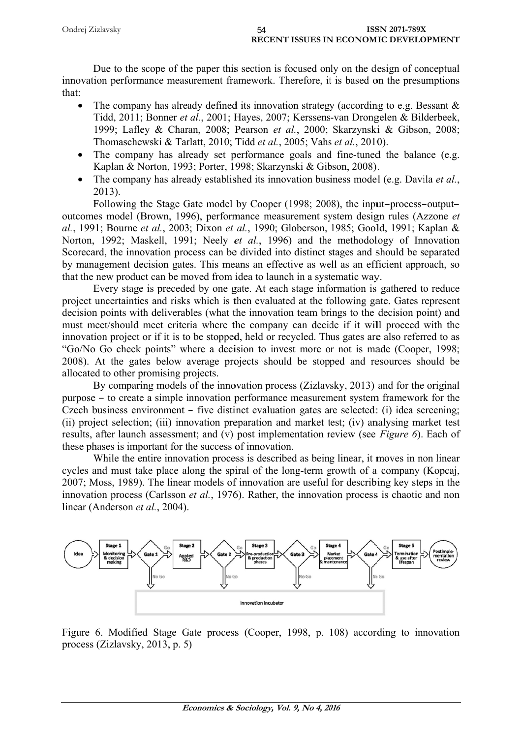| Ondrej Zizlavsky | <b>ISSN 2071-789X</b>                 |  |
|------------------|---------------------------------------|--|
|                  | RECENT ISSUES IN ECONOMIC DEVELOPMENT |  |

Due to the scope of the paper this section is focused only on the design of conceptual innovation performance measurement framework. Therefore, it is based on the presumptions that:

- The company has already defined its innovation strategy (according to e.g. Bessant  $\&$  $\bullet$ Tidd, 2011; Bonner et al., 2001; Hayes, 2007; Kerssens-van Drongelen & Bilderbeek, 1999; Lafley & Charan, 2008; Pearson et al., 2000; Skarzynski & Gibson, 2008; Thomaschewski & Tarlatt, 2010; Tidd et al., 2005; Vahs et al., 2010).
- The company has already set performance goals and fine-tuned the balance (e.g.  $\bullet$ Kaplan & Norton, 1993; Porter, 1998; Skarzynski & Gibson, 2008).
- The company has already established its innovation business model (e.g. Davila *et al.*)  $2013$ ).

Following the Stage Gate model by Cooper (1998; 2008), the input-process-outputoutcomes model (Brown, 1996), performance measurement system design rules (Azzone et al., 1991; Bourne et al., 2003; Dixon et al., 1990; Globerson, 1985; Goold, 1991; Kaplan & Norton, 1992; Maskell, 1991; Neely et al., 1996) and the methodology of Innovation Scorecard, the innovation process can be divided into distinct stages and should be separated by management decision gates. This means an effective as well as an efficient approach, so that the new product can be moved from idea to launch in a systematic way.

Every stage is preceded by one gate. At each stage information is gathered to reduce project uncertainties and risks which is then evaluated at the following gate. Gates represent decision points with deliverables (what the innovation team brings to the decision point) and must meet/should meet criteria where the company can decide if it will proceed with the innovation project or if it is to be stopped, held or recycled. Thus gates are also referred to as "Go/No Go check points" where a decision to invest more or not is made (Cooper, 1998; 2008). At the gates below average projects should be stopped and resources should be allocated to other promising projects.

By comparing models of the innovation process (Zizlavsky, 2013) and for the original purpose – to create a simple innovation performance measurement system framework for the Czech business environment – five distinct evaluation gates are selected: (i) idea screening; (ii) project selection; (iii) innovation preparation and market test; (iv) analysing market test results, after launch assessment; and (v) post implementation review (see Figure 6). Each of these phases is important for the success of innovation.

While the entire innovation process is described as being linear, it moves in non linear cycles and must take place along the spiral of the long-term growth of a company (Kopcaj, 2007: Moss, 1989). The linear models of innovation are useful for describing key steps in the innovation process (Carlsson *et al.*, 1976). Rather, the innovation process is chaotic and non linear (Anderson et al., 2004).



Figure 6. Modified Stage Gate process (Cooper, 1998, p. 108) according to innovation process (Zizlavsky, 2013, p. 5)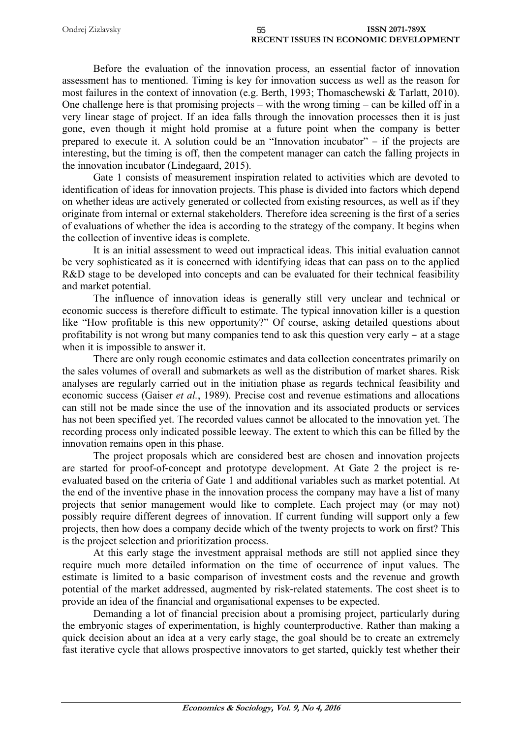| Ondrej Zizlavsky | <b>ISSN 2071-789X</b>                        |
|------------------|----------------------------------------------|
|                  | <b>RECENT ISSUES IN ECONOMIC DEVELOPMENT</b> |

Before the evaluation of the innovation process, an essential factor of innovation assessment has to mentioned. Timing is key for innovation success as well as the reason for most failures in the context of innovation (e.g. Berth, 1993; Thomaschewski & Tarlatt, 2010). One challenge here is that promising projects – with the wrong timing – can be killed off in a very linear stage of project. If an idea falls through the innovation processes then it is just gone, even though it might hold promise at a future point when the company is better prepared to execute it. A solution could be an "Innovation incubator" ‒ if the projects are interesting, but the timing is off, then the competent manager can catch the falling projects in the innovation incubator (Lindegaard, 2015).

Gate 1 consists of measurement inspiration related to activities which are devoted to identification of ideas for innovation projects. This phase is divided into factors which depend on whether ideas are actively generated or collected from existing resources, as well as if they originate from internal or external stakeholders. Therefore idea screening is the first of a series of evaluations of whether the idea is according to the strategy of the company. It begins when the collection of inventive ideas is complete.

It is an initial assessment to weed out impractical ideas. This initial evaluation cannot be very sophisticated as it is concerned with identifying ideas that can pass on to the applied R&D stage to be developed into concepts and can be evaluated for their technical feasibility and market potential.

The influence of innovation ideas is generally still very unclear and technical or economic success is therefore difficult to estimate. The typical innovation killer is a question like "How profitable is this new opportunity?" Of course, asking detailed questions about profitability is not wrong but many companies tend to ask this question very early  $-$  at a stage when it is impossible to answer it.

There are only rough economic estimates and data collection concentrates primarily on the sales volumes of overall and submarkets as well as the distribution of market shares. Risk analyses are regularly carried out in the initiation phase as regards technical feasibility and economic success (Gaiser *et al.*, 1989). Precise cost and revenue estimations and allocations can still not be made since the use of the innovation and its associated products or services has not been specified yet. The recorded values cannot be allocated to the innovation yet. The recording process only indicated possible leeway. The extent to which this can be filled by the innovation remains open in this phase.

The project proposals which are considered best are chosen and innovation projects are started for proof-of-concept and prototype development. At Gate 2 the project is reevaluated based on the criteria of Gate 1 and additional variables such as market potential. At the end of the inventive phase in the innovation process the company may have a list of many projects that senior management would like to complete. Each project may (or may not) possibly require different degrees of innovation. If current funding will support only a few projects, then how does a company decide which of the twenty projects to work on first? This is the project selection and prioritization process.

At this early stage the investment appraisal methods are still not applied since they require much more detailed information on the time of occurrence of input values. The estimate is limited to a basic comparison of investment costs and the revenue and growth potential of the market addressed, augmented by risk-related statements. The cost sheet is to provide an idea of the financial and organisational expenses to be expected.

Demanding a lot of financial precision about a promising project, particularly during the embryonic stages of experimentation, is highly counterproductive. Rather than making a quick decision about an idea at a very early stage, the goal should be to create an extremely fast iterative cycle that allows prospective innovators to get started, quickly test whether their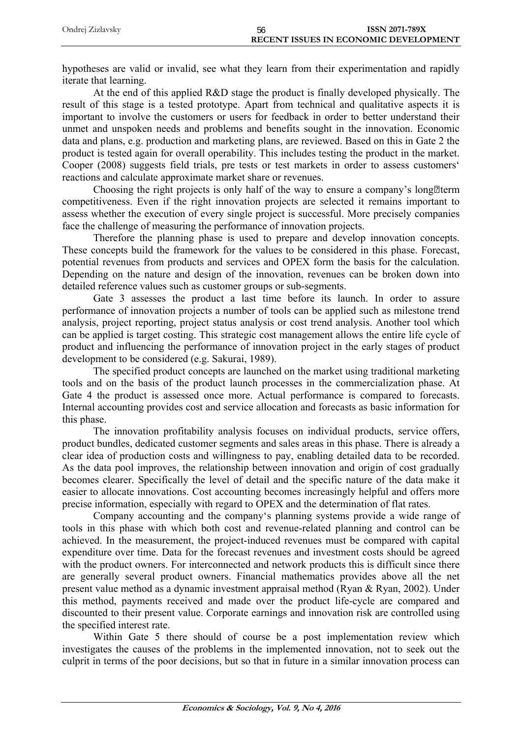| Ondrej Zizlavsky | <b>ISSN 2071-789X</b><br>56                  |  |
|------------------|----------------------------------------------|--|
|                  | <b>RECENT ISSUES IN ECONOMIC DEVELOPMENT</b> |  |

hypotheses are valid or invalid, see what they learn from their experimentation and rapidly iterate that learning.

At the end of this applied R&D stage the product is finally developed physically. The result of this stage is a tested prototype. Apart from technical and qualitative aspects it is important to involve the customers or users for feedback in order to better understand their unmet and unspoken needs and problems and benefits sought in the innovation. Economic data and plans, e.g. production and marketing plans, are reviewed. Based on this in Gate 2 the product is tested again for overall operability. This includes testing the product in the market. Cooper (2008) suggests field trials, pre tests or test markets in order to assess customers' reactions and calculate approximate market share or revenues.

Choosing the right projects is only half of the way to ensure a company's long<sup>[2]</sup>term competitiveness. Even if the right innovation projects are selected it remains important to assess whether the execution of every single project is successful. More precisely companies face the challenge of measuring the performance of innovation projects.

Therefore the planning phase is used to prepare and develop innovation concepts. These concepts build the framework for the values to be considered in this phase. Forecast, potential revenues from products and services and OPEX form the basis for the calculation. Depending on the nature and design of the innovation, revenues can be broken down into detailed reference values such as customer groups or sub-segments.

Gate 3 assesses the product a last time before its launch. In order to assure performance of innovation projects a number of tools can be applied such as milestone trend analysis, project reporting, project status analysis or cost trend analysis. Another tool which can be applied is target costing. This strategic cost management allows the entire life cycle of product and influencing the performance of innovation project in the early stages of product development to be considered (e.g. Sakurai, 1989).

The specified product concepts are launched on the market using traditional marketing tools and on the basis of the product launch processes in the commercialization phase. At Gate 4 the product is assessed once more. Actual performance is compared to forecasts. Internal accounting provides cost and service allocation and forecasts as basic information for this phase.

The innovation profitability analysis focuses on individual products, service offers, product bundles, dedicated customer segments and sales areas in this phase. There is already a clear idea of production costs and willingness to pay, enabling detailed data to be recorded. As the data pool improves, the relationship between innovation and origin of cost gradually becomes clearer. Specifically the level of detail and the specific nature of the data make it easier to allocate innovations. Cost accounting becomes increasingly helpful and offers more precise information, especially with regard to OPEX and the determination of flat rates.

Company accounting and the company's planning systems provide a wide range of tools in this phase with which both cost and revenue-related planning and control can be achieved. In the measurement, the project-induced revenues must be compared with capital expenditure over time. Data for the forecast revenues and investment costs should be agreed with the product owners. For interconnected and network products this is difficult since there are generally several product owners. Financial mathematics provides above all the net present value method as a dynamic investment appraisal method (Ryan & Ryan, 2002). Under this method, payments received and made over the product life-cycle are compared and discounted to their present value. Corporate earnings and innovation risk are controlled using the specified interest rate.

Within Gate 5 there should of course be a post implementation review which investigates the causes of the problems in the implemented innovation, not to seek out the culprit in terms of the poor decisions, but so that in future in a similar innovation process can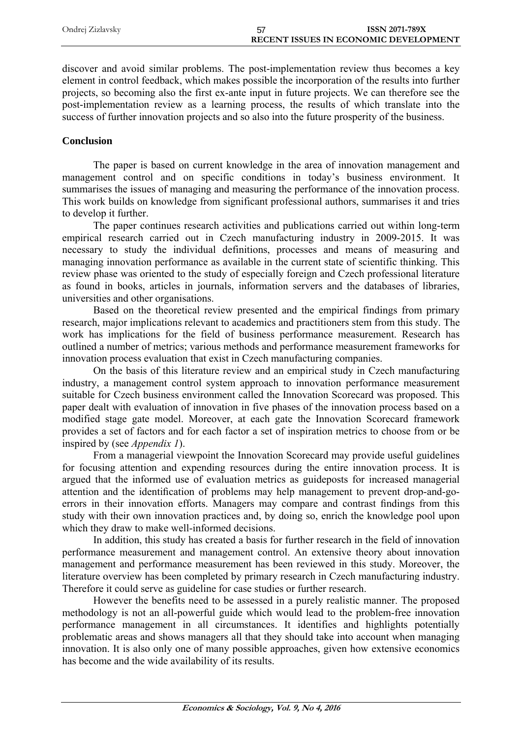| Ondrej Zizlavsky | <b>ISSN 2071-789X</b>                        |  |
|------------------|----------------------------------------------|--|
|                  | <b>RECENT ISSUES IN ECONOMIC DEVELOPMENT</b> |  |

discover and avoid similar problems. The post-implementation review thus becomes a key element in control feedback, which makes possible the incorporation of the results into further projects, so becoming also the first ex-ante input in future projects. We can therefore see the post-implementation review as a learning process, the results of which translate into the success of further innovation projects and so also into the future prosperity of the business.

### **Conclusion**

The paper is based on current knowledge in the area of innovation management and management control and on specific conditions in today's business environment. It summarises the issues of managing and measuring the performance of the innovation process. This work builds on knowledge from significant professional authors, summarises it and tries to develop it further.

The paper continues research activities and publications carried out within long-term empirical research carried out in Czech manufacturing industry in 2009-2015. It was necessary to study the individual definitions, processes and means of measuring and managing innovation performance as available in the current state of scientific thinking. This review phase was oriented to the study of especially foreign and Czech professional literature as found in books, articles in journals, information servers and the databases of libraries, universities and other organisations.

Based on the theoretical review presented and the empirical findings from primary research, major implications relevant to academics and practitioners stem from this study. The work has implications for the field of business performance measurement. Research has outlined a number of metrics; various methods and performance measurement frameworks for innovation process evaluation that exist in Czech manufacturing companies.

On the basis of this literature review and an empirical study in Czech manufacturing industry, a management control system approach to innovation performance measurement suitable for Czech business environment called the Innovation Scorecard was proposed. This paper dealt with evaluation of innovation in five phases of the innovation process based on a modified stage gate model. Moreover, at each gate the Innovation Scorecard framework provides a set of factors and for each factor a set of inspiration metrics to choose from or be inspired by (see *Appendix 1*).

From a managerial viewpoint the Innovation Scorecard may provide useful guidelines for focusing attention and expending resources during the entire innovation process. It is argued that the informed use of evaluation metrics as guideposts for increased managerial attention and the identification of problems may help management to prevent drop-and-goerrors in their innovation efforts. Managers may compare and contrast findings from this study with their own innovation practices and, by doing so, enrich the knowledge pool upon which they draw to make well-informed decisions.

In addition, this study has created a basis for further research in the field of innovation performance measurement and management control. An extensive theory about innovation management and performance measurement has been reviewed in this study. Moreover, the literature overview has been completed by primary research in Czech manufacturing industry. Therefore it could serve as guideline for case studies or further research.

However the benefits need to be assessed in a purely realistic manner. The proposed methodology is not an all-powerful guide which would lead to the problem-free innovation performance management in all circumstances. It identifies and highlights potentially problematic areas and shows managers all that they should take into account when managing innovation. It is also only one of many possible approaches, given how extensive economics has become and the wide availability of its results.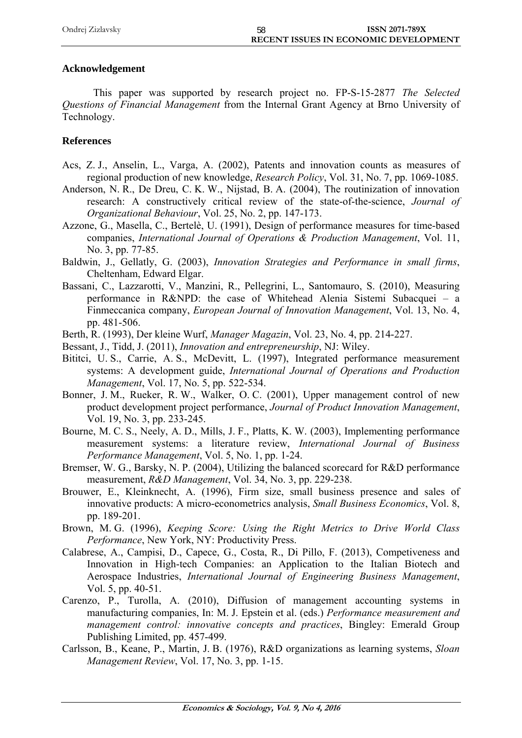| Ondrej Zizlavsky | <b>ISSN 2071-789X</b>                        |
|------------------|----------------------------------------------|
|                  | <b>RECENT ISSUES IN ECONOMIC DEVELOPMENT</b> |

## **Acknowledgement**

This paper was supported by research project no. FP-S-15-2877 *The Selected Questions of Financial Management* from the Internal Grant Agency at Brno University of Technology.

## **References**

- Acs, Z. J., Anselin, L., Varga, A. (2002), Patents and innovation counts as measures of regional production of new knowledge, *Research Policy*, Vol. 31, No. 7, pp. 1069-1085.
- Anderson, N. R., De Dreu, C. K. W., Nijstad, B. A. (2004), The routinization of innovation research: A constructively critical review of the state-of-the-science, *Journal of Organizational Behaviour*, Vol. 25, No. 2, pp. 147-173.
- Azzone, G., Masella, C., Bertelè, U. (1991), Design of performance measures for time-based companies, *International Journal of Operations & Production Management*, Vol. 11, No. 3, pp. 77-85.
- Baldwin, J., Gellatly, G. (2003), *Innovation Strategies and Performance in small firms*, Cheltenham, Edward Elgar.
- Bassani, C., Lazzarotti, V., Manzini, R., Pellegrini, L., Santomauro, S. (2010), Measuring performance in R&NPD: the case of Whitehead Alenia Sistemi Subacquei – a Finmeccanica company, *European Journal of Innovation Management*, Vol. 13, No. 4, pp. 481-506.
- Berth, R. (1993), Der kleine Wurf, *Manager Magazin*, Vol. 23, No. 4, pp. 214-227.
- Bessant, J., Tidd, J. (2011), *Innovation and entrepreneurship*, NJ: Wiley.
- Bititci, U. S., Carrie, A. S., McDevitt, L. (1997), Integrated performance measurement systems: A development guide, *International Journal of Operations and Production Management*, Vol. 17, No. 5, pp. 522-534.
- Bonner, J. M., Rueker, R. W., Walker, O. C. (2001), Upper management control of new product development project performance, *Journal of Product Innovation Management*, Vol. 19, No. 3, pp. 233-245.
- Bourne, M. C. S., Neely, A. D., Mills, J. F., Platts, K. W. (2003), Implementing performance measurement systems: a literature review, *International Journal of Business Performance Management*, Vol. 5, No. 1, pp. 1-24.
- Bremser, W. G., Barsky, N. P. (2004), Utilizing the balanced scorecard for R&D performance measurement, *R&D Management*, Vol. 34, No. 3, pp. 229-238.
- Brouwer, E., Kleinknecht, A. (1996), Firm size, small business presence and sales of innovative products: A micro-econometrics analysis, *Small Business Economics*, Vol. 8, pp. 189-201.
- Brown, M. G. (1996), *Keeping Score: Using the Right Metrics to Drive World Class Performance*, New York, NY: Productivity Press.
- Calabrese, A., Campisi, D., Capece, G., Costa, R., Di Pillo, F. (2013), Competiveness and Innovation in High-tech Companies: an Application to the Italian Biotech and Aerospace Industries, *International Journal of Engineering Business Management*, Vol. 5, pp. 40-51.
- Carenzo, P., Turolla, A. (2010), Diffusion of management accounting systems in manufacturing companies, In: M. J. Epstein et al. (eds.) *Performance measurement and management control: innovative concepts and practices*, Bingley: Emerald Group Publishing Limited, pp. 457-499.
- Carlsson, B., Keane, P., Martin, J. B. (1976), R&D organizations as learning systems, *Sloan Management Review*, Vol. 17, No. 3, pp. 1-15.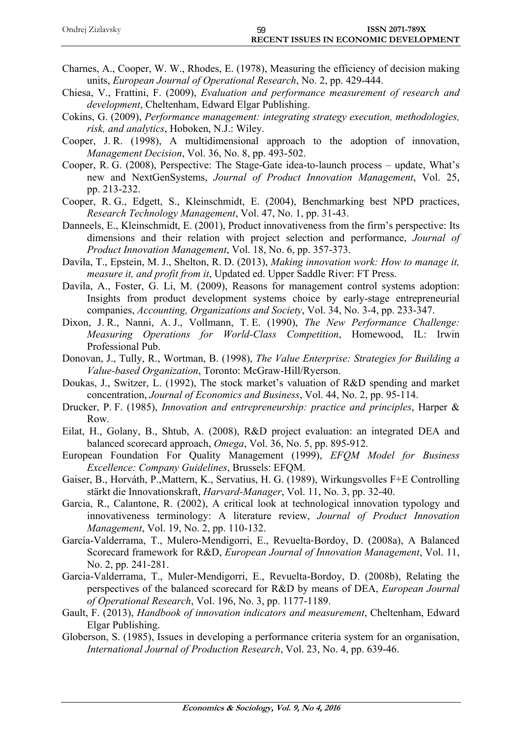| Ondrej Zizlavsky |                                              | <b>ISSN 2071-789X</b> |
|------------------|----------------------------------------------|-----------------------|
|                  | <b>RECENT ISSUES IN ECONOMIC DEVELOPMENT</b> |                       |

- Charnes, A., Cooper, W. W., Rhodes, E. (1978), Measuring the efficiency of decision making units, *European Journal of Operational Research*, No. 2, pp. 429-444.
- Chiesa, V., Frattini, F. (2009), *Evaluation and performance measurement of research and development*, Cheltenham, Edward Elgar Publishing.
- Cokins, G. (2009), *Performance management: integrating strategy execution, methodologies, risk, and analytics*, Hoboken, N.J.: Wiley.
- Cooper, J. R. (1998), A multidimensional approach to the adoption of innovation, *Management Decision*, Vol. 36, No. 8, pp. 493-502.
- Cooper, R. G. (2008), Perspective: The Stage-Gate idea-to-launch process update, What's new and NextGenSystems, *Journal of Product Innovation Management*, Vol. 25, pp. 213-232.
- Cooper, R. G., Edgett, S., Kleinschmidt, E. (2004), Benchmarking best NPD practices, *Research Technology Management*, Vol. 47, No. 1, pp. 31-43.
- Danneels, E., Kleinschmidt, E. (2001), Product innovativeness from the firm's perspective: Its dimensions and their relation with project selection and performance, *Journal of Product Innovation Management*, Vol. 18, No. 6, pp. 357-373.
- Davila, T., Epstein, M. J., Shelton, R. D. (2013), *Making innovation work: How to manage it, measure it, and profit from it*, Updated ed. Upper Saddle River: FT Press.
- Davila, A., Foster, G. Li, M. (2009), Reasons for management control systems adoption: Insights from product development systems choice by early-stage entrepreneurial companies, *Accounting, Organizations and Society*, Vol. 34, No. 3-4, pp. 233-347.
- Dixon, J. R., Nanni, A. J., Vollmann, T. E. (1990), *The New Performance Challenge: Measuring Operations for World-Class Competition*, Homewood, IL: Irwin Professional Pub.
- Donovan, J., Tully, R., Wortman, B. (1998), *The Value Enterprise: Strategies for Building a Value-based Organization*, Toronto: McGraw-Hill/Ryerson.
- Doukas, J., Switzer, L. (1992), The stock market's valuation of R&D spending and market concentration, *Journal of Economics and Business*, Vol. 44, No. 2, pp. 95-114.
- Drucker, P. F. (1985), *Innovation and entrepreneurship: practice and principles*, Harper & Row.
- Eilat, H., Golany, B., Shtub, A. (2008), R&D project evaluation: an integrated DEA and balanced scorecard approach, *Omega*, Vol. 36, No. 5, pp. 895-912.
- European Foundation For Quality Management (1999), *EFQM Model for Business Excellence: Company Guidelines*, Brussels: EFQM.
- Gaiser, B., Horváth, P.,Mattern, K., Servatius, H. G. (1989), Wirkungsvolles F+E Controlling stärkt die Innovationskraft, *Harvard-Manager*, Vol. 11, No. 3, pp. 32-40.
- Garcia, R., Calantone, R. (2002), A critical look at technological innovation typology and innovativeness terminology: A literature review, *Journal of Product Innovation Management*, Vol. 19, No. 2, pp. 110-132.
- García-Valderrama, T., Mulero-Mendigorri, E., Revuelta-Bordoy, D. (2008a), A Balanced Scorecard framework for R&D, *European Journal of Innovation Management*, Vol. 11, No. 2, pp. 241-281.
- Garcia-Valderrama, T., Muler-Mendigorri, E., Revuelta-Bordoy, D. (2008b), Relating the perspectives of the balanced scorecard for R&D by means of DEA, *European Journal of Operational Research*, Vol. 196, No. 3, pp. 1177-1189.
- Gault, F. (2013), *Handbook of innovation indicators and measurement*, Cheltenham, Edward Elgar Publishing.
- Globerson, S. (1985), Issues in developing a performance criteria system for an organisation, *International Journal of Production Research*, Vol. 23, No. 4, pp. 639-46.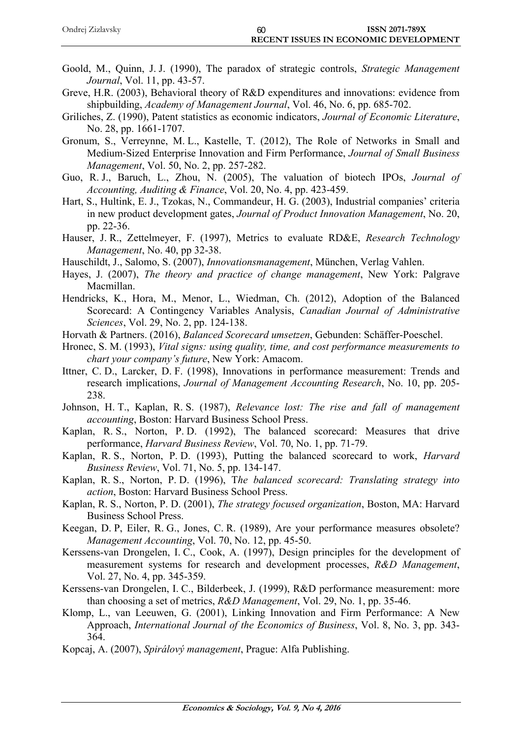| Ondrej Zizlavsky | 60                                           | <b>ISSN 2071-789X</b> |
|------------------|----------------------------------------------|-----------------------|
|                  | <b>RECENT ISSUES IN ECONOMIC DEVELOPMENT</b> |                       |

- Goold, M., Quinn, J. J. (1990), The paradox of strategic controls, *Strategic Management Journal*, Vol. 11, pp. 43-57.
- Greve, H.R. (2003), Behavioral theory of R&D expenditures and innovations: evidence from shipbuilding, *Academy of Management Journal*, Vol. 46, No. 6, pp. 685-702.
- Griliches, Z. (1990), Patent statistics as economic indicators, *Journal of Economic Literature*, No. 28, pp. 1661-1707.
- Gronum, S., Verreynne, M. L., Kastelle, T. (2012), The Role of Networks in Small and Medium-Sized Enterprise Innovation and Firm Performance, *Journal of Small Business Management*, Vol. 50, No. 2, pp. 257-282.
- Guo, R. J., Baruch, L., Zhou, N. (2005), The valuation of biotech IPOs, *Journal of Accounting, Auditing & Finance*, Vol. 20, No. 4, pp. 423-459.
- Hart, S., Hultink, E. J., Tzokas, N., Commandeur, H. G. (2003), Industrial companies' criteria in new product development gates, *Journal of Product Innovation Management*, No. 20, pp. 22-36.
- Hauser, J. R., Zettelmeyer, F. (1997), Metrics to evaluate RD&E, *Research Technology Management*, No. 40, pp 32-38.
- Hauschildt, J., Salomo, S. (2007), *Innovationsmanagement*, München, Verlag Vahlen.
- Hayes, J. (2007), *The theory and practice of change management*, New York: Palgrave Macmillan.
- Hendricks, K., Hora, M., Menor, L., Wiedman, Ch. (2012), Adoption of the Balanced Scorecard: A Contingency Variables Analysis, *Canadian Journal of Administrative Sciences*, Vol. 29, No. 2, pp. 124-138.
- Horvath & Partners. (2016), *Balanced Scorecard umsetzen*, Gebunden: Schäffer-Poeschel.
- Hronec, S. M. (1993), *Vital signs: using quality, time, and cost performance measurements to chart your company's future*, New York: Amacom.
- Ittner, C. D., Larcker, D. F. (1998), Innovations in performance measurement: Trends and research implications, *Journal of Management Accounting Research*, No. 10, pp. 205- 238.
- Johnson, H. T., Kaplan, R. S. (1987), *Relevance lost: The rise and fall of management accounting*, Boston: Harvard Business School Press.
- Kaplan, R. S., Norton, P. D. (1992), The balanced scorecard: Measures that drive performance, *Harvard Business Review*, Vol. 70, No. 1, pp. 71-79.
- Kaplan, R. S., Norton, P. D. (1993), Putting the balanced scorecard to work, *Harvard Business Review*, Vol. 71, No. 5, pp. 134-147.
- Kaplan, R. S., Norton, P. D. (1996), T*he balanced scorecard: Translating strategy into action*, Boston: Harvard Business School Press.
- Kaplan, R. S., Norton, P. D. (2001), *The strategy focused organization*, Boston, MA: Harvard Business School Press.
- Keegan, D. P, Eiler, R. G., Jones, C. R. (1989), Are your performance measures obsolete? *Management Accounting*, Vol. 70, No. 12, pp. 45-50.
- Kerssens-van Drongelen, I. C., Cook, A. (1997), Design principles for the development of measurement systems for research and development processes, *R&D Management*, Vol. 27, No. 4, pp. 345-359.
- Kerssens-van Drongelen, I. C., Bilderbeek, J. (1999), R&D performance measurement: more than choosing a set of metrics, *R&D Management*, Vol. 29, No. 1, pp. 35-46.
- Klomp, L., van Leeuwen, G. (2001), Linking Innovation and Firm Performance: A New Approach, *International Journal of the Economics of Business*, Vol. 8, No. 3, pp. 343- 364.
- Kopcaj, A. (2007), *Spirálový management*, Prague: Alfa Publishing.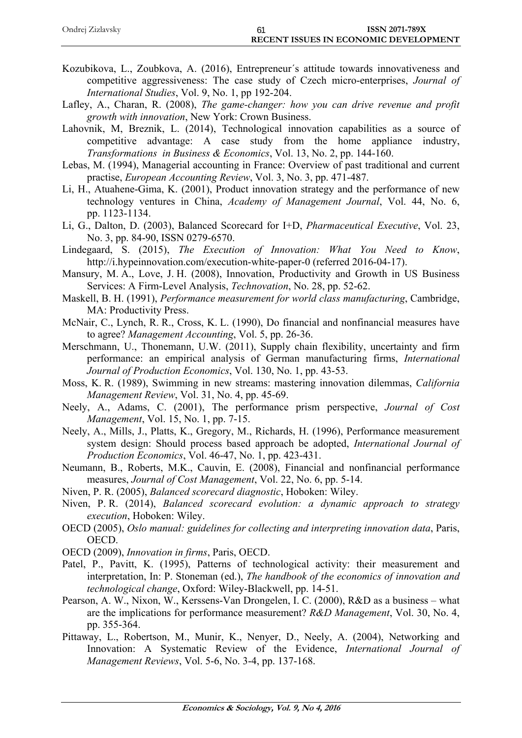| Ondrej Zizlavsky |                                              | <b>ISSN 2071-789X</b> |
|------------------|----------------------------------------------|-----------------------|
|                  | <b>RECENT ISSUES IN ECONOMIC DEVELOPMENT</b> |                       |

- Kozubikova, L., Zoubkova, A. (2016), Entrepreneur´s attitude towards innovativeness and competitive aggressiveness: The case study of Czech micro-enterprises, *Journal of International Studies*, Vol. 9, No. 1, pp 192-204.
- Lafley, A., Charan, R. (2008), *The game-changer: how you can drive revenue and profit growth with innovation*, New York: Crown Business.
- Lahovnik, M, Breznik, L. (2014), Technological innovation capabilities as a source of competitive advantage: A case study from the home appliance industry, *Transformations in Business & Economics*, Vol. 13, No. 2, pp. 144-160.
- Lebas, M. (1994), Managerial accounting in France: Overview of past traditional and current practise, *European Accounting Review*, Vol. 3, No. 3, pp. 471-487.
- Li, H., Atuahene-Gima, K. (2001), Product innovation strategy and the performance of new technology ventures in China, *Academy of Management Journal*, Vol. 44, No. 6, pp. 1123-1134.
- Li, G., Dalton, D. (2003), Balanced Scorecard for I+D, *Pharmaceutical Executive*, Vol. 23, No. 3, pp. 84-90, ISSN 0279-6570.
- Lindegaard, S. (2015), *The Execution of Innovation: What You Need to Know*, http://i.hypeinnovation.com/execution-white-paper-0 (referred 2016-04-17).
- Mansury, M. A., Love, J. H. (2008), Innovation, Productivity and Growth in US Business Services: A Firm-Level Analysis, *Technovation*, No. 28, pp. 52-62.
- Maskell, B. H. (1991), *Performance measurement for world class manufacturing*, Cambridge, MA: Productivity Press.
- McNair, C., Lynch, R. R., Cross, K. L. (1990), Do financial and nonfinancial measures have to agree? *Management Accounting*, Vol. 5, pp. 26-36.
- Merschmann, U., Thonemann, U.W. (2011), Supply chain flexibility, uncertainty and firm performance: an empirical analysis of German manufacturing firms, *International Journal of Production Economics*, Vol. 130, No. 1, pp. 43-53.
- Moss, K. R. (1989), Swimming in new streams: mastering innovation dilemmas, *California Management Review*, Vol. 31, No. 4, pp. 45-69.
- Neely, A., Adams, C. (2001), The performance prism perspective, *Journal of Cost Management*, Vol. 15, No. 1, pp. 7-15.
- Neely, A., Mills, J., Platts, K., Gregory, M., Richards, H. (1996), Performance measurement system design: Should process based approach be adopted, *International Journal of Production Economics*, Vol. 46-47, No. 1, pp. 423-431.
- Neumann, B., Roberts, M.K., Cauvin, E. (2008), Financial and nonfinancial performance measures, *Journal of Cost Management*, Vol. 22, No. 6, pp. 5-14.
- Niven, P. R. (2005), *Balanced scorecard diagnostic*, Hoboken: Wiley.
- Niven, P. R. (2014), *Balanced scorecard evolution: a dynamic approach to strategy execution*, Hoboken: Wiley.
- OECD (2005), *Oslo manual: guidelines for collecting and interpreting innovation data*, Paris, OECD.
- OECD (2009), *Innovation in firms*, Paris, OECD.
- Patel, P., Pavitt, K. (1995), Patterns of technological activity: their measurement and interpretation, In: P. Stoneman (ed.), *The handbook of the economics of innovation and technological change*, Oxford: Wiley-Blackwell, pp. 14-51.
- Pearson, A. W., Nixon, W., Kerssens-Van Drongelen, I. C. (2000), R&D as a business what are the implications for performance measurement? *R&D Management*, Vol. 30, No. 4, pp. 355-364.
- Pittaway, L., Robertson, M., Munir, K., Nenyer, D., Neely, A. (2004), Networking and Innovation: A Systematic Review of the Evidence, *International Journal of Management Reviews*, Vol. 5-6, No. 3-4, pp. 137-168.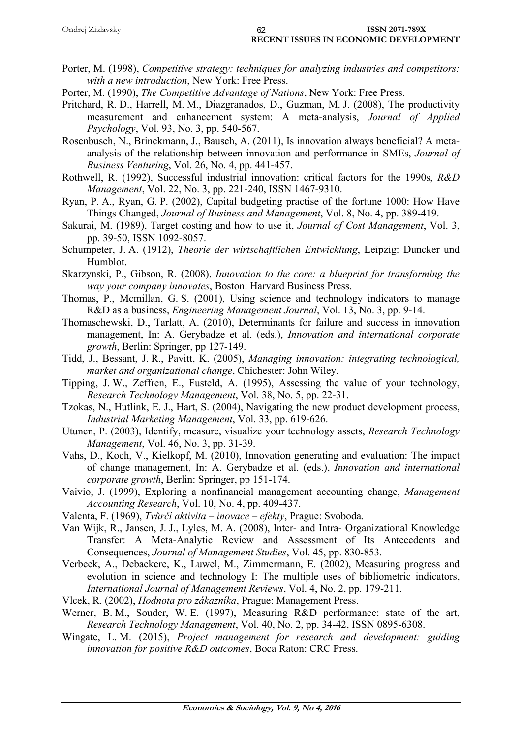| Ondrej Zizlavsky | <b>ISSN 2071-789X</b>                        |
|------------------|----------------------------------------------|
|                  | <b>RECENT ISSUES IN ECONOMIC DEVELOPMENT</b> |

Porter, M. (1998), *Competitive strategy: techniques for analyzing industries and competitors: with a new introduction*, New York: Free Press.

Porter, M. (1990), *The Competitive Advantage of Nations*, New York: Free Press.

- Pritchard, R. D., Harrell, M. M., Diazgranados, D., Guzman, M. J. (2008), The productivity measurement and enhancement system: A meta-analysis, *Journal of Applied Psychology*, Vol. 93, No. 3, pp. 540-567.
- Rosenbusch, N., Brinckmann, J., Bausch, A. (2011), Is innovation always beneficial? A metaanalysis of the relationship between innovation and performance in SMEs, *Journal of Business Venturing*, Vol. 26, No. 4, pp. 441-457.
- Rothwell, R. (1992), Successful industrial innovation: critical factors for the 1990s, *R&D Management*, Vol. 22, No. 3, pp. 221-240, ISSN 1467-9310.
- Ryan, P. A., Ryan, G. P. (2002), Capital budgeting practise of the fortune 1000: How Have Things Changed, *Journal of Business and Management*, Vol. 8, No. 4, pp. 389-419.
- Sakurai, M. (1989), Target costing and how to use it, *Journal of Cost Management*, Vol. 3, pp. 39-50, ISSN 1092-8057.
- Schumpeter, J. A. (1912), *Theorie der wirtschaftlichen Entwicklung*, Leipzig: Duncker und Humblot.
- Skarzynski, P., Gibson, R. (2008), *Innovation to the core: a blueprint for transforming the way your company innovates*, Boston: Harvard Business Press.
- Thomas, P., Mcmillan, G. S. (2001), Using science and technology indicators to manage R&D as a business, *Engineering Management Journal*, Vol. 13, No. 3, pp. 9-14.
- Thomaschewski, D., Tarlatt, A. (2010), Determinants for failure and success in innovation management, In: A. Gerybadze et al. (eds.), *Innovation and international corporate growth*, Berlin: Springer, pp 127-149.
- Tidd, J., Bessant, J. R., Pavitt, K. (2005), *Managing innovation: integrating technological, market and organizational change*, Chichester: John Wiley.
- Tipping, J. W., Zeffren, E., Fusteld, A. (1995), Assessing the value of your technology, *Research Technology Management*, Vol. 38, No. 5, pp. 22-31.
- Tzokas, N., Hutlink, E. J., Hart, S. (2004), Navigating the new product development process, *Industrial Marketing Management*, Vol. 33, pp. 619-626.
- Utunen, P. (2003), Identify, measure, visualize your technology assets, *Research Technology Management*, Vol. 46, No. 3, pp. 31-39.
- Vahs, D., Koch, V., Kielkopf, M. (2010), Innovation generating and evaluation: The impact of change management, In: A. Gerybadze et al. (eds.), *Innovation and international corporate growth*, Berlin: Springer, pp 151-174.
- Vaivio, J. (1999), Exploring a nonfinancial management accounting change, *Management Accounting Research*, Vol. 10, No. 4, pp. 409-437.
- Valenta, F. (1969), *Tvůrčí aktivita inovace efekty*, Prague: Svoboda.
- Van Wijk, R., Jansen, J. J., Lyles, M. A. (2008), Inter- and Intra- Organizational Knowledge Transfer: A Meta-Analytic Review and Assessment of Its Antecedents and Consequences, *Journal of Management Studies*, Vol. 45, pp. 830-853.
- Verbeek, A., Debackere, K., Luwel, M., Zimmermann, E. (2002), Measuring progress and evolution in science and technology I: The multiple uses of bibliometric indicators, *International Journal of Management Reviews*, Vol. 4, No. 2, pp. 179-211.
- Vlcek, R. (2002), *Hodnota pro zákazníka*, Prague: Management Press.
- Werner, B. M., Souder, W. E. (1997), Measuring R&D performance: state of the art, *Research Technology Management*, Vol. 40, No. 2, pp. 34-42, ISSN 0895-6308.
- Wingate, L. M. (2015), *Project management for research and development: guiding innovation for positive R&D outcomes*, Boca Raton: CRC Press.